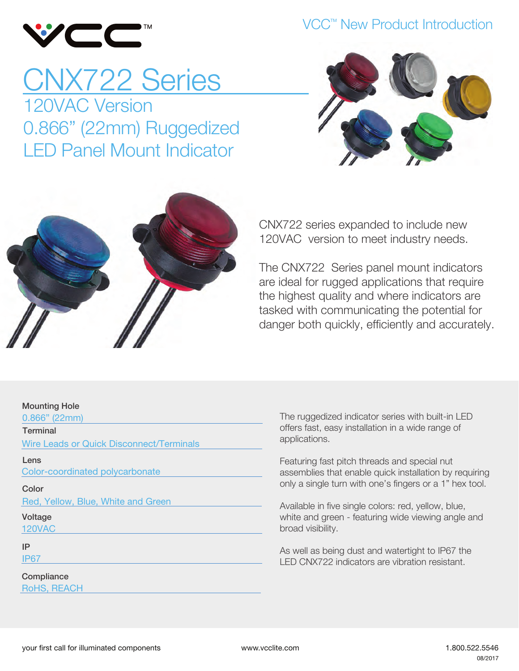

#### VCC<sup>™</sup> New Product Introduction

## CNX722 Series 120VAC Version 0.866" (22mm) Ruggedized LED Panel Mount Indicator





CNX722 series expanded to include new 120VAC version to meet industry needs.

The CNX722 Series panel mount indicators are ideal for rugged applications that require the highest quality and where indicators are tasked with communicating the potential for danger both quickly, efficiently and accurately.

#### Mounting Hole

0.866" (22mm)

**Terminal** 

Wire Leads or Quick Disconnect/Terminals

Lens

Color-coordinated polycarbonate

Color

Red, Yellow, Blue, White and Green

Voltage 120VAC

IP

IP67

**Compliance** RoHS, REACH The ruggedized indicator series with built-in LED offers fast, easy installation in a wide range of applications.

Featuring fast pitch threads and special nut assemblies that enable quick installation by requiring only a single turn with one's fingers or a 1" hex tool.

Available in five single colors: red, yellow, blue, white and green - featuring wide viewing angle and broad visibility.

As well as being dust and watertight to IP67 the LED CNX722 indicators are vibration resistant.